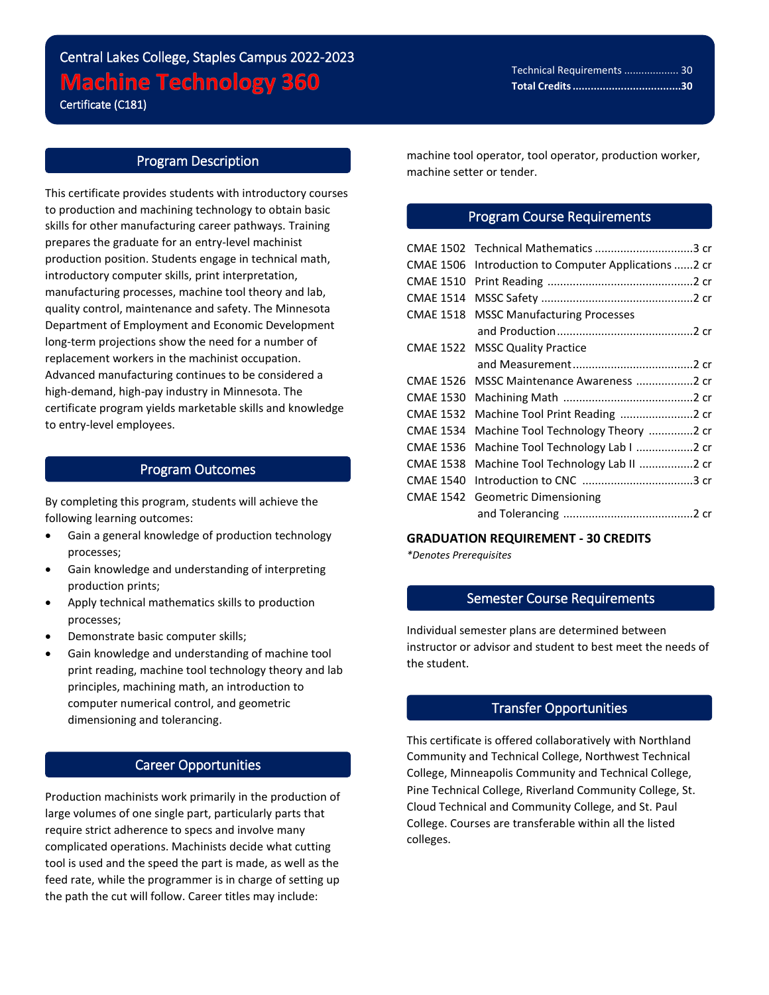### Program Description

i<br>L

This certificate provides students with introductory courses to production and machining technology to obtain basic skills for other manufacturing career pathways. Training prepares the graduate for an entry-level machinist production position. Students engage in technical math, introductory computer skills, print interpretation, manufacturing processes, machine tool theory and lab, quality control, maintenance and safety. The Minnesota Department of Employment and Economic Development long-term projections show the need for a number of replacement workers in the machinist occupation. Advanced manufacturing continues to be considered a high-demand, high-pay industry in Minnesota. The certificate program yields marketable skills and knowledge to entry-level employees.

# Program Outcomes

By completing this program, students will achieve the following learning outcomes:

- Gain a general knowledge of production technology processes;
- Gain knowledge and understanding of interpreting production prints;
- Apply technical mathematics skills to production processes;
- Demonstrate basic computer skills;
- Gain knowledge and understanding of machine tool print reading, machine tool technology theory and lab principles, machining math, an introduction to computer numerical control, and geometric dimensioning and tolerancing.

#### Career Opportunities

Production machinists work primarily in the production of large volumes of one single part, particularly parts that require strict adherence to specs and involve many complicated operations. Machinists decide what cutting tool is used and the speed the part is made, as well as the feed rate, while the programmer is in charge of setting up the path the cut will follow. Career titles may include:

machine tool operator, tool operator, production worker, machine setter or tender.

### Program Course Requirements

|                  | CMAE 1502 Technical Mathematics 3 cr       |  |
|------------------|--------------------------------------------|--|
| <b>CMAE 1506</b> | Introduction to Computer Applications 2 cr |  |
| <b>CMAE 1510</b> |                                            |  |
| CMAE 1514        |                                            |  |
| <b>CMAE 1518</b> | <b>MSSC Manufacturing Processes</b>        |  |
|                  |                                            |  |
| CMAE 1522        | <b>MSSC Quality Practice</b>               |  |
|                  |                                            |  |
| <b>CMAE 1526</b> | MSSC Maintenance Awareness 2 cr            |  |
| <b>CMAE 1530</b> |                                            |  |
| <b>CMAE 1532</b> | Machine Tool Print Reading 2 cr            |  |
| <b>CMAE 1534</b> | Machine Tool Technology Theory 2 cr        |  |
| <b>CMAE 1536</b> | Machine Tool Technology Lab I 2 cr         |  |
| <b>CMAE 1538</b> | Machine Tool Technology Lab II 2 cr        |  |
| <b>CMAE 1540</b> |                                            |  |
| <b>CMAE 1542</b> | <b>Geometric Dimensioning</b>              |  |
|                  |                                            |  |
|                  |                                            |  |

### **GRADUATION REQUIREMENT - 30 CREDITS**

*\*Denotes Prerequisites*

### Semester Course Requirements

Individual semester plans are determined between instructor or advisor and student to best meet the needs of the student.

# Transfer Opportunities

This certificate is offered collaboratively with Northland Community and Technical College, Northwest Technical College, Minneapolis Community and Technical College, Pine Technical College, Riverland Community College, St. Cloud Technical and Community College, and St. Paul College. Courses are transferable within all the listed colleges.